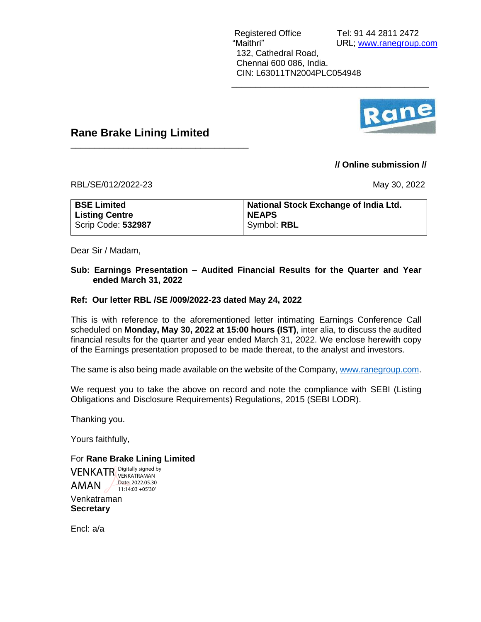

#### **Rane Brake Lining Limited**

\_\_\_\_\_\_\_\_\_\_\_\_\_\_\_\_\_\_\_\_\_\_\_\_\_\_\_\_\_\_\_\_\_\_\_\_\_

#### **// Online submission //**

RBL/SE/012/2022-23 May 30, 2022

| <b>BSE Limited</b> | National Stock Exchange of India Ltd. |
|--------------------|---------------------------------------|
| Listing Centre     | <b>NEAPS</b>                          |
| Scrip Code: 532987 | Symbol: RBL                           |

 $\overline{\phantom{a}}$  ,  $\overline{\phantom{a}}$  ,  $\overline{\phantom{a}}$  ,  $\overline{\phantom{a}}$  ,  $\overline{\phantom{a}}$  ,  $\overline{\phantom{a}}$  ,  $\overline{\phantom{a}}$  ,  $\overline{\phantom{a}}$  ,  $\overline{\phantom{a}}$  ,  $\overline{\phantom{a}}$  ,  $\overline{\phantom{a}}$  ,  $\overline{\phantom{a}}$  ,  $\overline{\phantom{a}}$  ,  $\overline{\phantom{a}}$  ,  $\overline{\phantom{a}}$  ,  $\overline{\phantom{a}}$ 

Dear Sir / Madam,

#### **Sub: Earnings Presentation – Audited Financial Results for the Quarter and Year ended March 31, 2022**

#### **Ref: Our letter RBL /SE /009/2022-23 dated May 24, 2022**

This is with reference to the aforementioned letter intimating Earnings Conference Call scheduled on **Monday, May 30, 2022 at 15:00 hours (IST)**, inter alia, to discuss the audited financial results for the quarter and year ended March 31, 2022. We enclose herewith copy of the Earnings presentation proposed to be made thereat, to the analyst and investors.

The same is also being made available on the website of the Company[, www.ranegroup.com.](http://www.ranegroup.com/)

We request you to take the above on record and note the compliance with SEBI (Listing Obligations and Disclosure Requirements) Regulations, 2015 (SEBI LODR).

Thanking you.

Yours faithfully,

#### For **Rane Brake Lining Limited**

Venkatraman **Secretary VENKATR** Digitally signed by AMAN VENKATRAMAN Date: 2022.05.30 11:14:03 +05'30'

Encl: a/a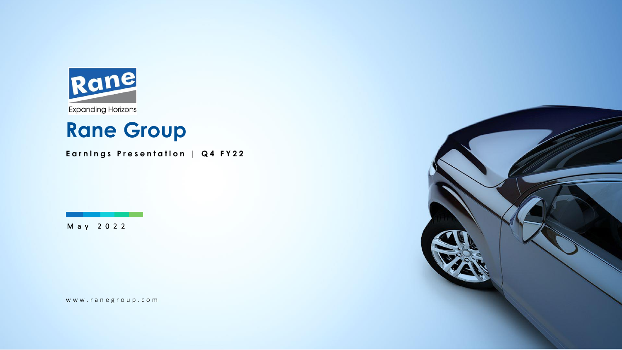

# **Rane Group**

**Earnings Presentation | Q 4 F Y 2 2**

M a y 2 0 2 2

www.ranegroup.com

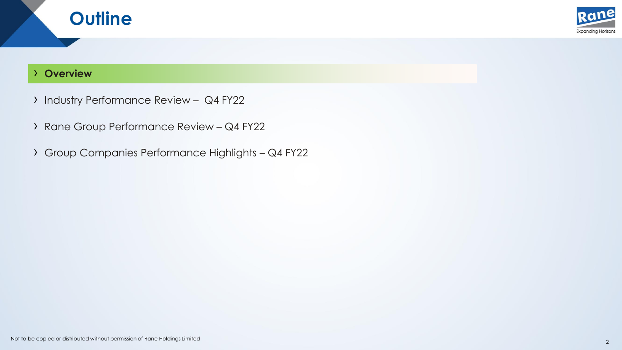

#### › **Overview**

**Outline**

- › Industry Performance Review Q4 FY22
- › Rane Group Performance Review Q4 FY22
- › Group Companies Performance Highlights Q4 FY22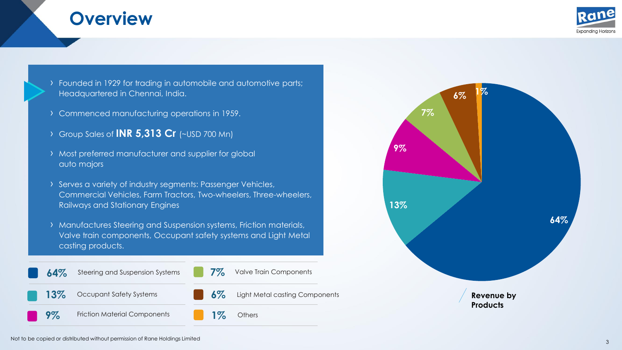### **Overview**



› Founded in 1929 for trading in automobile and automotive parts; Headquartered in Chennai, India.

- › Commenced manufacturing operations in 1959.
- › Group Sales of **INR 5,313 Cr** (~USD 700 Mn)
- › Most preferred manufacturer and supplier for global auto majors
- › Serves a variety of industry segments: Passenger Vehicles, Commercial Vehicles, Farm Tractors, Two-wheelers, Three-wheelers, Railways and Stationary Engines
- › Manufactures Steering and Suspension systems, Friction materials, Valve train components, Occupant safety systems and Light Metal casting products.



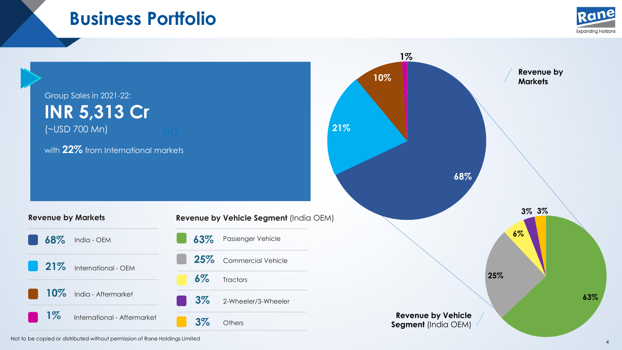### **Business Portfolio**



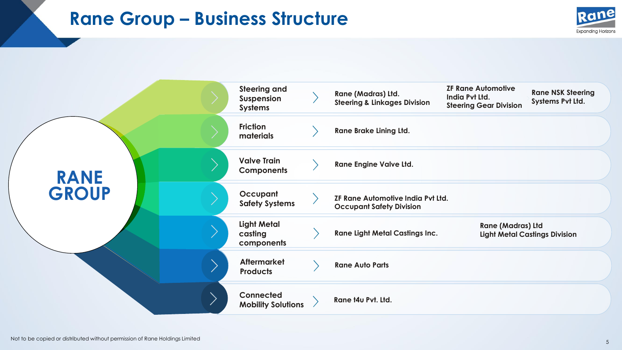### **Rane Group – Business Structure**



| <b>Steering and</b><br>Suspension<br><b>Systems</b> | Rane (Madras) Ltd.<br><b>Steering &amp; Linkages Division</b> | <b>ZF Rane Automotive</b><br>India Pvt Ltd. | <b>Rane NSK Steering</b><br>Systems Pvt Ltd.                                                   |
|-----------------------------------------------------|---------------------------------------------------------------|---------------------------------------------|------------------------------------------------------------------------------------------------|
| <b>Friction</b><br>materials                        | <b>Rane Brake Lining Ltd.</b>                                 |                                             |                                                                                                |
| <b>Valve Train</b><br><b>Components</b>             | <b>Rane Engine Valve Ltd.</b>                                 |                                             |                                                                                                |
| Occupant<br><b>Safety Systems</b>                   | <b>Occupant Safety Division</b>                               |                                             |                                                                                                |
| <b>Light Metal</b><br>casting<br>components         | <b>Rane Light Metal Castings Inc.</b>                         |                                             | <b>Light Metal Castings Division</b>                                                           |
| <b>Aftermarket</b><br><b>Products</b>               | <b>Rane Auto Parts</b>                                        |                                             |                                                                                                |
| <b>Connected</b><br><b>Mobility Solutions</b>       | Rane t4u Pvt. Ltd.                                            |                                             |                                                                                                |
|                                                     |                                                               |                                             | <b>Steering Gear Division</b><br>ZF Rane Automotive India Pvt Ltd.<br><b>Rane (Madras) Ltd</b> |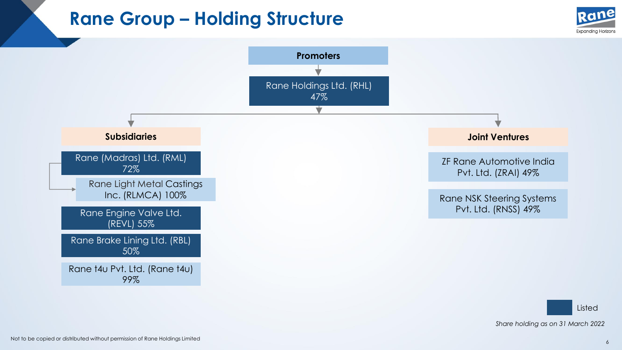### **Rane Group – Holding Structure**





Listed *Share holding as on 31 March 2022*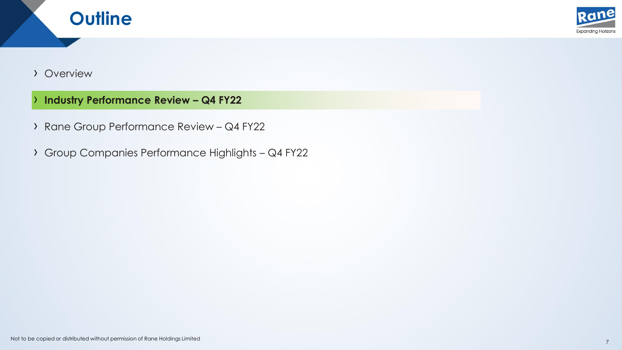



#### › Overview

- › **Industry Performance Review – Q4 FY22**
- › Rane Group Performance Review Q4 FY22
- › Group Companies Performance Highlights Q4 FY22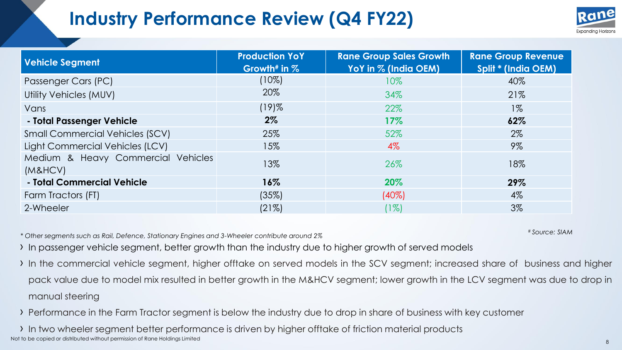# **Industry Performance Review (Q4 FY22)**



| <b>Vehicle Segment</b>                        | <b>Production YoY</b><br>Growth <sup>#</sup> in $%$ | <b>Rane Group Sales Growth</b><br>YoY in % (India OEM) | <b>Rane Group Revenue</b><br><b>Split * (India OEM)</b> |
|-----------------------------------------------|-----------------------------------------------------|--------------------------------------------------------|---------------------------------------------------------|
| Passenger Cars (PC)                           | $(10\%)$                                            | $10\%$                                                 | 40%                                                     |
| Utility Vehicles (MUV)                        | 20%                                                 | 34%                                                    | 21%                                                     |
| Vans                                          | $(19)$ %                                            | 22%                                                    | $1\%$                                                   |
| - Total Passenger Vehicle                     | $2\%$                                               | 17%                                                    | 62%                                                     |
| <b>Small Commercial Vehicles (SCV)</b>        | 25%                                                 | 52%                                                    | $2\%$                                                   |
| Light Commercial Vehicles (LCV)               | 15%                                                 | $4\%$                                                  | $9\%$                                                   |
| Medium & Heavy Commercial Vehicles<br>(M&HCV) | 13%                                                 | 26%                                                    | 18%                                                     |
| - Total Commercial Vehicle                    | $16\%$                                              | 20%                                                    | 29%                                                     |
| Farm Tractors (FT)                            | (35%)                                               | $(40\%)$                                               | $4\%$                                                   |
| 2-Wheeler                                     | (21%)                                               | $(1\%)$                                                | $3\%$                                                   |

*\* Other segments such as Rail, Defence, Stationary Engines and 3-Wheeler contribute around 2%*

# *Source: SIAM* 

› In passenger vehicle segment, better growth than the industry due to higher growth of served models

- › In the commercial vehicle segment, higher offtake on served models in the SCV segment; increased share of business and higher pack value due to model mix resulted in better growth in the M&HCV segment; lower growth in the LCV segment was due to drop in manual steering
- › Performance in the Farm Tractor segment is below the industry due to drop in share of business with key customer

Not to be copied or distributed without permission of Rane Holdings Limited <sup>8</sup> › In two wheeler segment better performance is driven by higher offtake of friction material products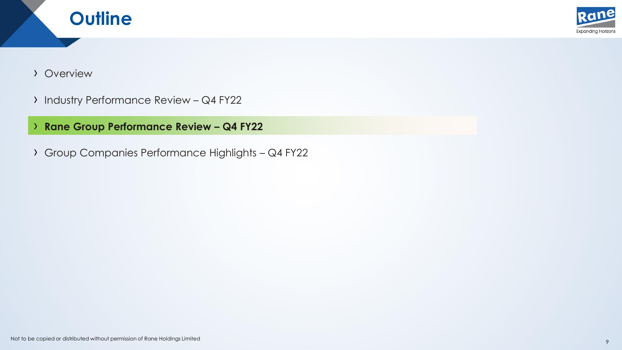



#### › Overview

- › Industry Performance Review Q4 FY22
- › **Rane Group Performance Review – Q4 FY22**
- › Group Companies Performance Highlights Q4 FY22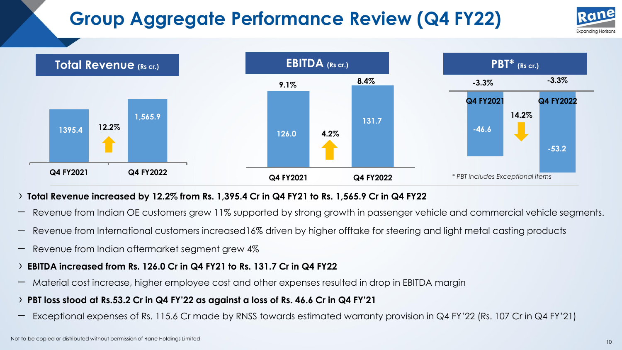# **Group Aggregate Performance Review (Q4 FY22)**





#### > Total Revenue increased by 12.2% from Rs. 1,395.4 Cr in Q4 FY21 to Rs. 1,565.9 Cr in Q4 FY22

- Revenue from Indian OE customers grew 11% supported by strong growth in passenger vehicle and commercial vehicle segments.
- Revenue from International customers increased16% driven by higher offtake for steering and light metal casting products
- Revenue from Indian aftermarket segment grew 4%
- › **EBITDA increased from Rs. 126.0 Cr in Q4 FY21 to Rs. 131.7 Cr in Q4 FY22**
- Material cost increase, higher employee cost and other expenses resulted in drop in EBITDA margin
- PBT loss stood at Rs.53.2 Cr in Q4 FY'22 as against a loss of Rs. 46.6 Cr in Q4 FY'21
- Exceptional expenses of Rs. 115.6 Cr made by RNSS towards estimated warranty provision in Q4 FY'<sup>22</sup> (Rs. <sup>107</sup> Cr in Q4 FY'21)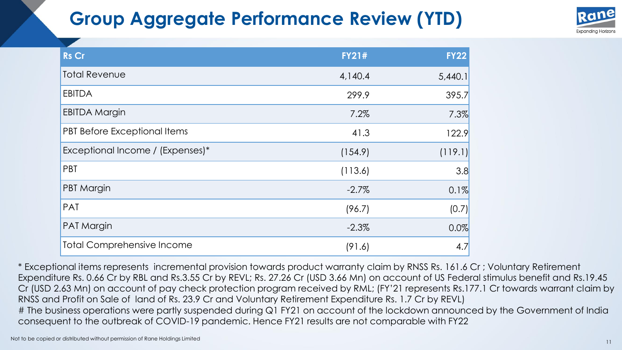### **Group Aggregate Performance Review (YTD)**



| <b>Rs Cr</b>                      | <b>FY21#</b> | <b>FY22</b> |
|-----------------------------------|--------------|-------------|
| <b>Total Revenue</b>              | 4,140.4      | 5,440.1     |
| <b>EBITDA</b>                     | 299.9        | 395.7       |
| <b>EBITDA Margin</b>              | 7.2%         | 7.3%        |
| PBT Before Exceptional Items      | 41.3         | 122.9       |
| Exceptional Income / (Expenses)*  | (154.9)      | (119.1)     |
| PBT                               | (113.6)      | 3.8         |
| <b>PBT Margin</b>                 | $-2.7\%$     | 0.1%        |
| PAT                               | (96.7)       | (0.7)       |
| PAT Margin                        | $-2.3\%$     | 0.0%        |
| <b>Total Comprehensive Income</b> | (91.6)       | 4.7         |

\* Exceptional items represents incremental provision towards product warranty claim by RNSS Rs. 161.6 Cr ; Voluntary Retirement Expenditure Rs. 0.66 Cr by RBL and Rs.3.55 Cr by REVL; Rs. 27.26 Cr (USD 3.66 Mn) on account of US Federal stimulus benefit and Rs.19.45 Cr (USD 2.63 Mn) on account of pay check protection program received by RML; (FY'21 represents Rs.177.1 Cr towards warrant claim by RNSS and Profit on Sale of land of Rs. 23.9 Cr and Voluntary Retirement Expenditure Rs. 1.7 Cr by REVL) # The business operations were partly suspended during Q1 FY21 on account of the lockdown announced by the Government of India consequent to the outbreak of COVID-19 pandemic. Hence FY21 results are not comparable with FY22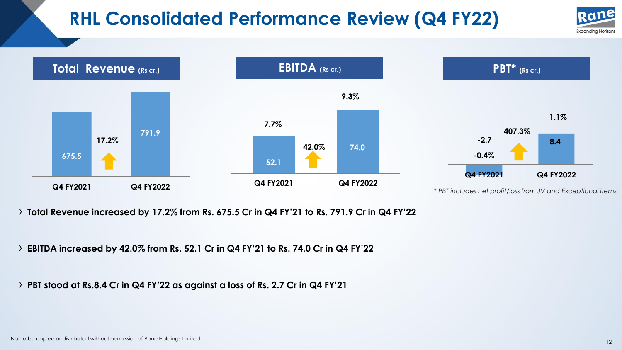### **RHL Consolidated Performance Review (Q4 FY22)**





› **Total Revenue increased by 17.2% from Rs. 675.5 Cr in Q4 FY'21 to Rs. 791.9 Cr in Q4 FY'22**

› **EBITDA increased by 42.0% from Rs. 52.1 Cr in Q4 FY'21 to Rs. 74.0 Cr in Q4 FY'22**

› **PBT stood at Rs.8.4 Cr in Q4 FY'22 as against a loss of Rs. 2.7 Cr in Q4 FY'21**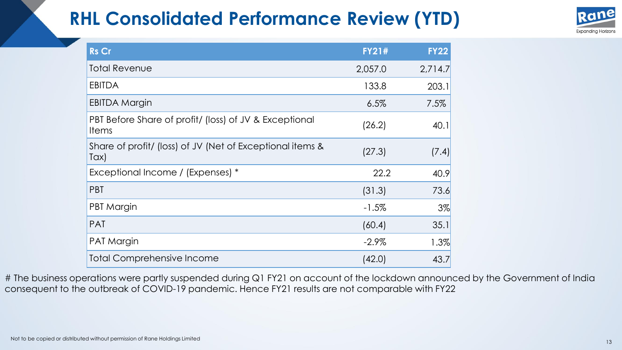### **RHL Consolidated Performance Review (YTD)**



| <b>Rs Cr</b>                                                           | <b>FY21#</b> | <b>FY22</b> |
|------------------------------------------------------------------------|--------------|-------------|
| <b>Total Revenue</b>                                                   | 2,057.0      | 2,714.7     |
| <b>EBITDA</b>                                                          | 133.8        | 203.1       |
| <b>EBITDA Margin</b>                                                   | 6.5%         | 7.5%        |
| PBT Before Share of profit/ (loss) of JV & Exceptional<br><b>Items</b> | (26.2)       | 40.1        |
| Share of profit/ (loss) of JV (Net of Exceptional items &<br>Tax)      | (27.3)       | (7.4)       |
| Exceptional Income / (Expenses) *                                      | 22.2         | 40.9        |
| <b>PBT</b>                                                             | (31.3)       | 73.6        |
| PBT Margin                                                             | $-1.5\%$     | 3%          |
| <b>PAT</b>                                                             | (60.4)       | 35.1        |
| PAT Margin                                                             | $-2.9\%$     | 1.3%        |
| <b>Total Comprehensive Income</b>                                      | (42.0)       | 43.7        |

# The business operations were partly suspended during Q1 FY21 on account of the lockdown announced by the Government of India consequent to the outbreak of COVID-19 pandemic. Hence FY21 results are not comparable with FY22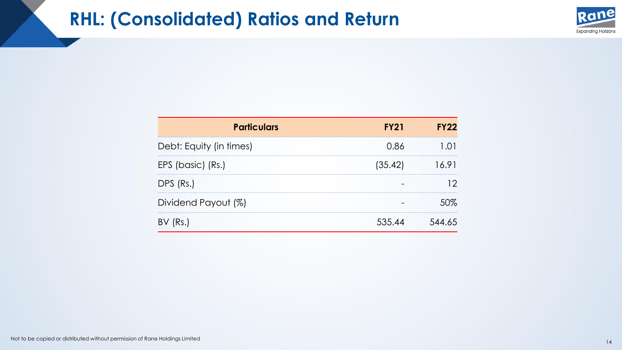### **RHL: (Consolidated) Ratios and Return**



| <b>Particulars</b>      | <b>FY21</b> | FY <sub>22</sub> |
|-------------------------|-------------|------------------|
| Debt: Equity (in times) | 0.86        |                  |
| EPS (basic) (Rs.)       | (35.42)     |                  |
| DPS (Rs.)               |             |                  |
| Dividend Payout (%)     |             |                  |
|                         | 535 44      |                  |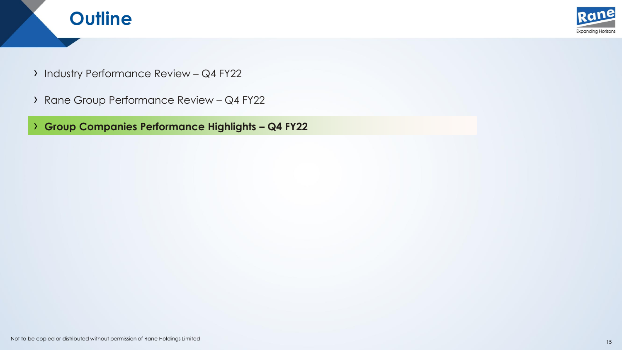



- › Industry Performance Review Q4 FY22
- › Rane Group Performance Review Q4 FY22

› **Group Companies Performance Highlights – Q4 FY22**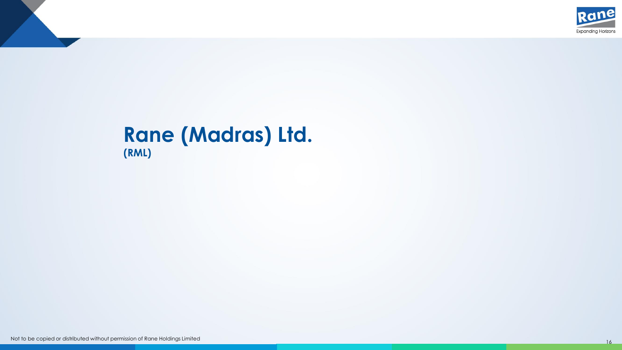

#### **Rane (Madras) Ltd. (RML)**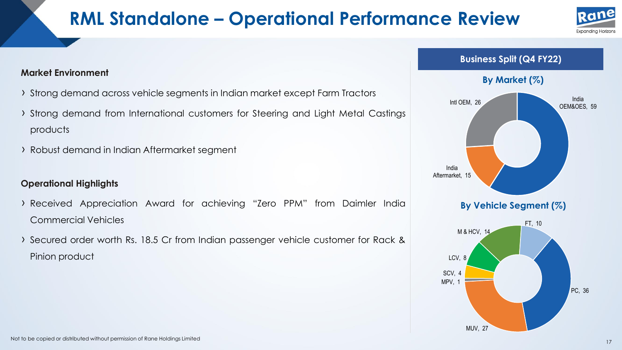### **RML Standalone – Operational Performance Review**





#### **Market Environment**

- › Strong demand across vehicle segments in Indian market except Farm Tractors
- › Strong demand from International customers for Steering and Light Metal Castings products
- › Robust demand in Indian Aftermarket segment

#### **Operational Highlights**

- › Received Appreciation Award for achieving "Zero PPM" from Daimler India Commercial Vehicles
- › Secured order worth Rs. 18.5 Cr from Indian passenger vehicle customer for Rack & Pinion product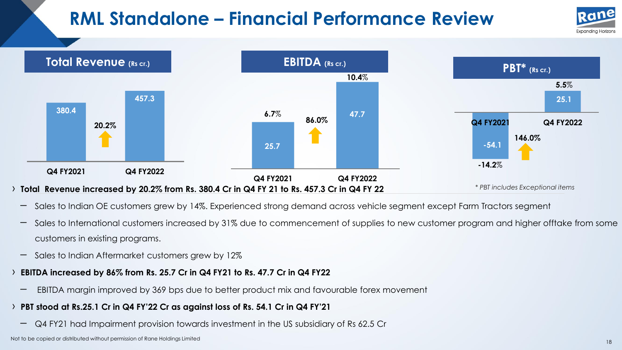### **RML Standalone – Financial Performance Review**





- Sales to Indian OE customers grew by 14%. Experienced strong demand across vehicle segment except Farm Tractors segment
- Sales to International customers increased by 31% due to commencement of supplies to new customer program and higher offtake from some customers in existing programs.
- Sales to Indian Aftermarket customers grew by 12%
- › **EBITDA increased by 86% from Rs. 25.7 Cr in Q4 FY21 to Rs. 47.7 Cr in Q4 FY22**
	- EBITDA margin improved by <sup>369</sup> bps due to better product mix and favourable forex movement
- > PBT stood at Rs.25.1 Cr in Q4 FY'22 Cr as against loss of Rs. 54.1 Cr in Q4 FY'21
	- Q4 FY21 had Impairment provision towards investment in the US subsidiary of Rs 62.5 Cr

Not to be copied or distributed without permission of Rane Holdings Limited 18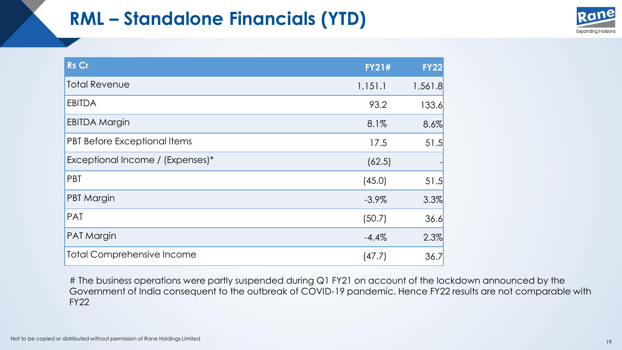### **RML – Standalone Financials (YTD)**



| <b>Rs Cr</b>                      | <b>FY21#</b> | <b>FY22</b> |
|-----------------------------------|--------------|-------------|
| <b>Total Revenue</b>              | 1,151.1      | 1,561.8     |
| <b>EBITDA</b>                     | 93.2         | 133.6       |
| <b>EBITDA Margin</b>              | 8.1%         | 8.6%        |
| PBT Before Exceptional Items      | 17.5         | 51.5        |
| Exceptional Income / (Expenses)*  | (62.5)       |             |
| PBT                               | (45.0)       | 51.5        |
| <b>PBT Margin</b>                 | $-3.9\%$     | 3.3%        |
| <b>PAT</b>                        | (50.7)       | 36.6        |
| <b>PAT Margin</b>                 | $-4.4%$      | 2.3%        |
| <b>Total Comprehensive Income</b> | (47.7)       | 36.7        |

# The business operations were partly suspended during Q1 FY21 on account of the lockdown announced by the Government of India consequent to the outbreak of COVID-19 pandemic. Hence FY22 results are not comparable with FY22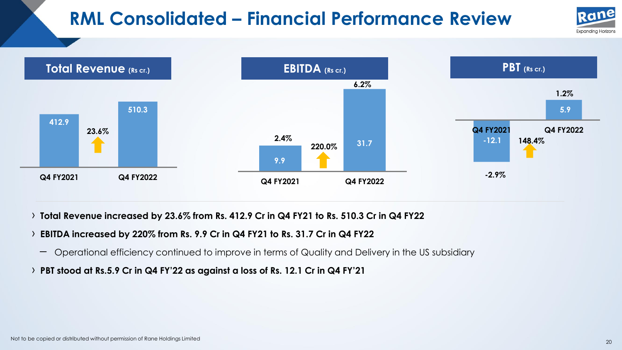# **RML Consolidated – Financial Performance Review**





› **Total Revenue increased by 23.6% from Rs. 412.9 Cr in Q4 FY21 to Rs. 510.3 Cr in Q4 FY22**

#### › **EBITDA increased by 220% from Rs. 9.9 Cr in Q4 FY21 to Rs. 31.7 Cr in Q4 FY22**

- Operational efficiency continued to improve in terms of Quality and Delivery in the US subsidiary
- > PBT stood at Rs.5.9 Cr in Q4 FY'22 as against a loss of Rs. 12.1 Cr in Q4 FY'21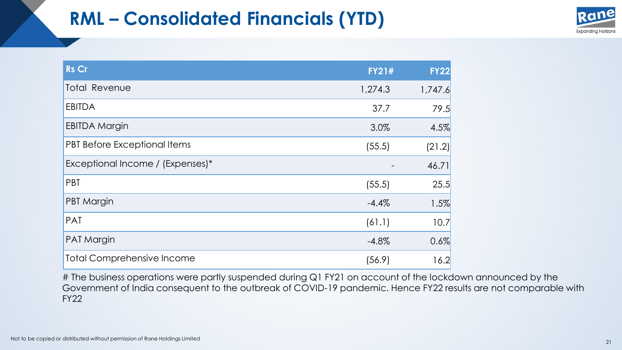### **RML – Consolidated Financials (YTD)**



| <b>Rs Cr</b>                        | <b>FY21#</b> | <b>FY22</b> |
|-------------------------------------|--------------|-------------|
| <b>Total Revenue</b>                | 1,274.3      | 1,747.6     |
| <b>EBITDA</b>                       | 37.7         | 79.5        |
| <b>EBITDA Margin</b>                | 3.0%         | 4.5%        |
| <b>PBT Before Exceptional Items</b> | (55.5)       | (21.2)      |
| Exceptional Income / (Expenses)*    |              | 46.71       |
| PBT                                 | (55.5)       | 25.5        |
| PBT Margin                          | $-4.4%$      | 1.5%        |
| <b>PAT</b>                          | (61.1)       | 10.7        |
| PAT Margin                          | $-4.8%$      | 0.6%        |
| <b>Total Comprehensive Income</b>   | (56.9)       | 16.2        |

# The business operations were partly suspended during Q1 FY21 on account of the lockdown announced by the Government of India consequent to the outbreak of COVID-19 pandemic. Hence FY22 results are not comparable with FY22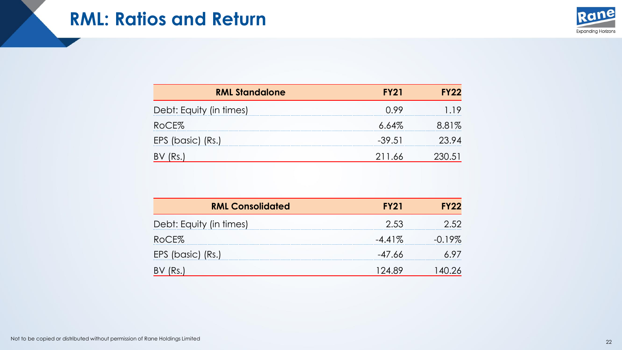

| <b>RML Standalone</b>   | <b>FY21</b> | FY22 |
|-------------------------|-------------|------|
| Debt: Equity (in times) | (199        |      |
| RoCE%                   | $6.64\%$    | 881% |
| EPS (basic) (Rs.)       | $-39.51$    |      |
|                         | 211.66      |      |

| <b>RML Consolidated</b> | <b>FY21</b> | FY 22     |
|-------------------------|-------------|-----------|
| Debt: Equity (in times) | 2.53        |           |
| RoCE%                   | $-4.41\%$   | $-()$ 19% |
| EPS (basic) (Rs.)       | -47.66      |           |
|                         | ') A XY     |           |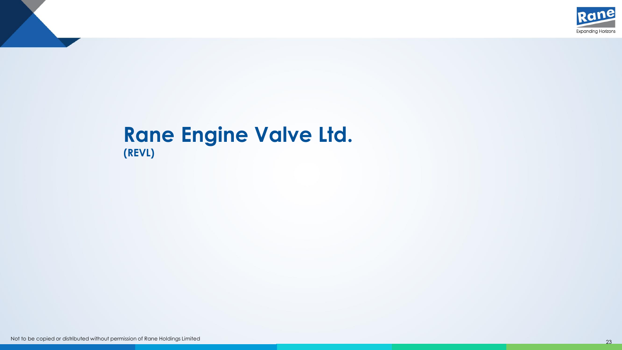

#### **Rane Engine Valve Ltd. (REVL)**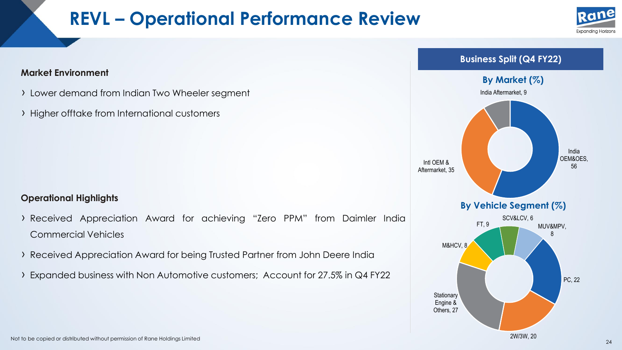### **REVL – Operational Performance Review**



#### **Market Environment**

- › Lower demand from Indian Two Wheeler segment
- › Higher offtake from International customers

#### **Operational Highlights**

- › Received Appreciation Award for achieving "Zero PPM" from Daimler India Commercial Vehicles
- › Received Appreciation Award for being Trusted Partner from John Deere India
- › Expanded business with Non Automotive customers; Account for 27.5% in Q4 FY22

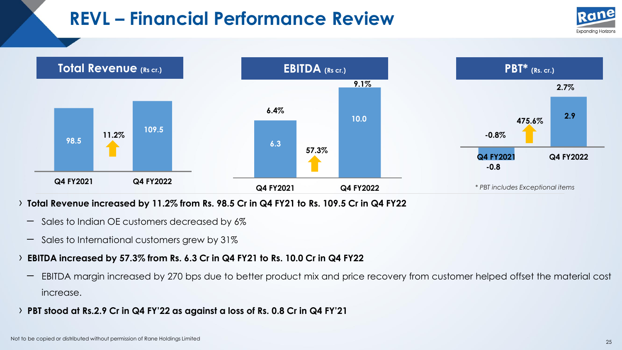### **REVL – Financial Performance Review**





#### › **Total Revenue increased by 11.2% from Rs. 98.5 Cr in Q4 FY21 to Rs. 109.5 Cr in Q4 FY22**

- Sales to Indian OE customers decreased by 6%
- Sales to International customers grew by 31%

#### › **EBITDA increased by 57.3% from Rs. 6.3 Cr in Q4 FY21 to Rs. 10.0 Cr in Q4 FY22**

- EBITDA margin increased by <sup>270</sup> bps due to better product mix and price recovery from customer helped offset the material cost increase.
- > PBT stood at Rs.2.9 Cr in Q4 FY'22 as against a loss of Rs. 0.8 Cr in Q4 FY'21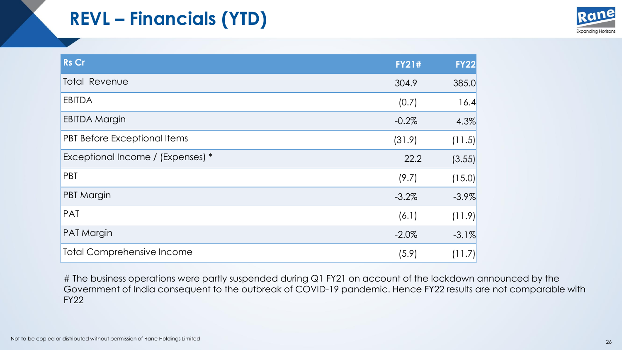## **REVL – Financials (YTD)**



| <b>Rs Cr</b>                      | <b>FY21#</b> | <b>FY22</b> |
|-----------------------------------|--------------|-------------|
| <b>Total Revenue</b>              | 304.9        | 385.0       |
| <b>EBITDA</b>                     | (0.7)        | 16.4        |
| <b>EBITDA Margin</b>              | $-0.2%$      | 4.3%        |
| PBT Before Exceptional Items      | (31.9)       | (11.5)      |
| Exceptional Income / (Expenses) * | 22.2         | (3.55)      |
| PBT                               | (9.7)        | (15.0)      |
| <b>PBT Margin</b>                 | $-3.2\%$     | $-3.9\%$    |
| PAT                               | (6.1)        | (11.9)      |
| <b>PAT Margin</b>                 | $-2.0\%$     | $-3.1\%$    |
| <b>Total Comprehensive Income</b> | (5.9)        | (11.7)      |

# The business operations were partly suspended during Q1 FY21 on account of the lockdown announced by the Government of India consequent to the outbreak of COVID-19 pandemic. Hence FY22 results are not comparable with FY22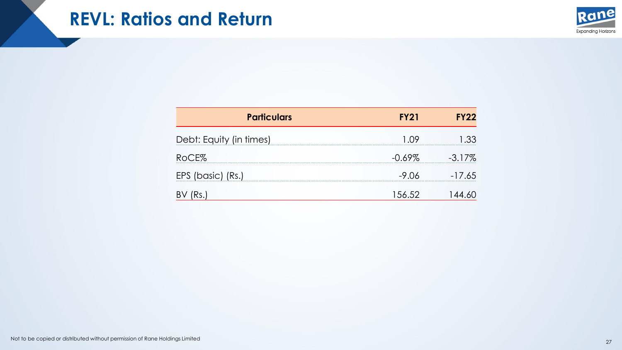

| <b>Particulars</b>      | <b>FY21</b> | <b>FY22</b> |
|-------------------------|-------------|-------------|
| Debt: Equity (in times) | - ( ) 9     | 1.33        |
| RoCE%                   | $-0.69\%$   | $-3.17\%$   |
| EPS (basic) (Rs.)       | -9.06       | $-17.65$    |
|                         | 156.52      |             |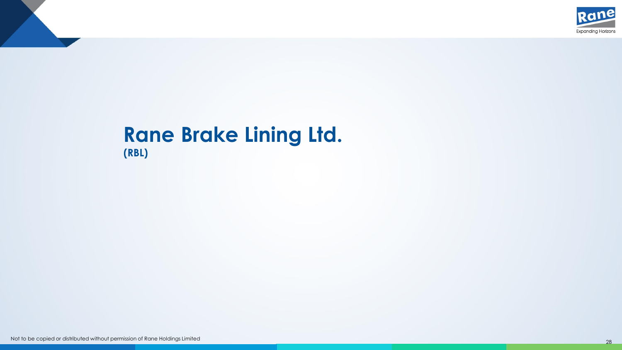

#### **Rane Brake Lining Ltd. (RBL)**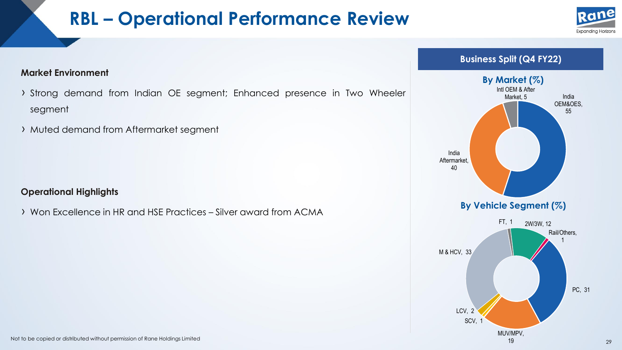### **RBL – Operational Performance Review**



#### **Market Environment**

- › Strong demand from Indian OE segment; Enhanced presence in Two Wheeler segment
- › Muted demand from Aftermarket segment

#### **Operational Highlights**

› Won Excellence in HR and HSE Practices – Silver award from ACMA

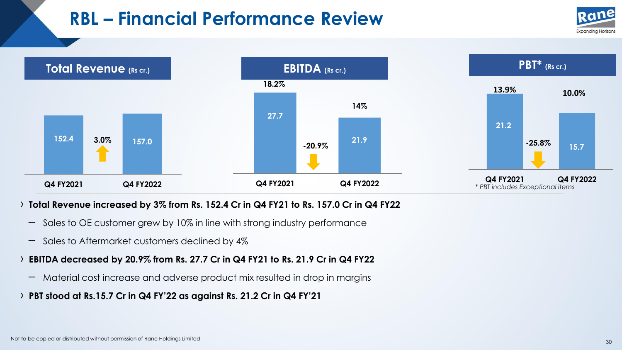### **RBL – Financial Performance Review**





#### › **Total Revenue increased by 3% from Rs. 152.4 Cr in Q4 FY21 to Rs. 157.0 Cr in Q4 FY22**

- Sales to OE customer grew by 10% in line with strong industry performance
- Sales to Aftermarket customers declined by 4%

#### › **EBITDA decreased by 20.9% from Rs. 27.7 Cr in Q4 FY21 to Rs. 21.9 Cr in Q4 FY22**

- Material cost increase and adverse product mix resulted in drop in margins
- › **PBT stood at Rs.15.7 Cr in Q4 FY'<sup>22</sup> as against Rs. 21.2 Cr in Q4 FY'<sup>21</sup>**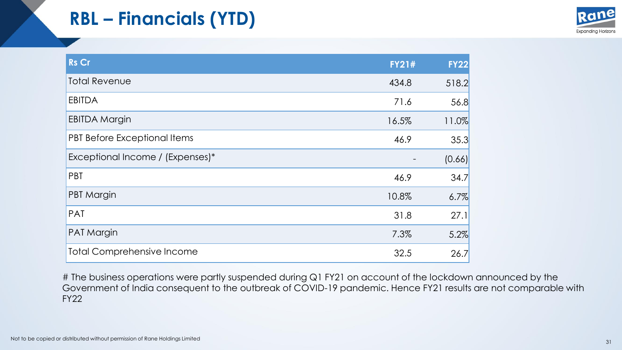# **RBL – Financials (YTD)**



| <b>Rs Cr</b>                        | <b>FY21#</b> | <b>FY22</b> |
|-------------------------------------|--------------|-------------|
| <b>Total Revenue</b>                | 434.8        | 518.2       |
| <b>EBITDA</b>                       | 71.6         | 56.8        |
| <b>EBITDA Margin</b>                | 16.5%        | 11.0%       |
| <b>PBT Before Exceptional Items</b> | 46.9         | 35.3        |
| Exceptional Income / (Expenses)*    |              | (0.66)      |
| PBT                                 | 46.9         | 34.7        |
| <b>PBT Margin</b>                   | 10.8%        | 6.7%        |
| <b>PAT</b>                          | 31.8         | 27.1        |
| <b>PAT Margin</b>                   | 7.3%         | 5.2%        |
| <b>Total Comprehensive Income</b>   | 32.5         | 26.7        |

# The business operations were partly suspended during Q1 FY21 on account of the lockdown announced by the Government of India consequent to the outbreak of COVID-19 pandemic. Hence FY21 results are not comparable with FY22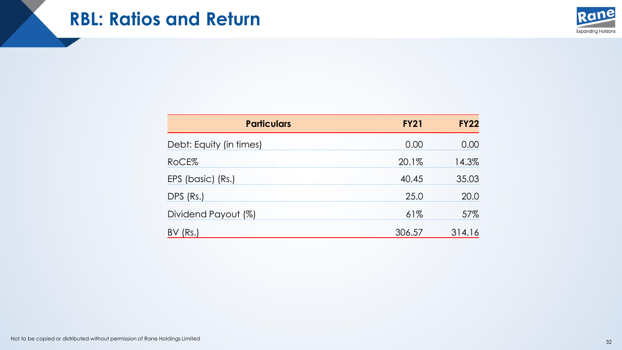#### **RBL: Ratios and Return**



| <b>Particulars</b>      |         |       |
|-------------------------|---------|-------|
| Debt: Equity (in times) | ( ) ( ) |       |
| RoCE%                   | 20.1%   | 14.3% |
| EPS (basic) (Rs.)       | 40.45   | 35 03 |
| DPS (Rs.)               | 25.0    |       |
| Dividend Payout (%)     | 61%     | 57%   |
|                         | 6.57    |       |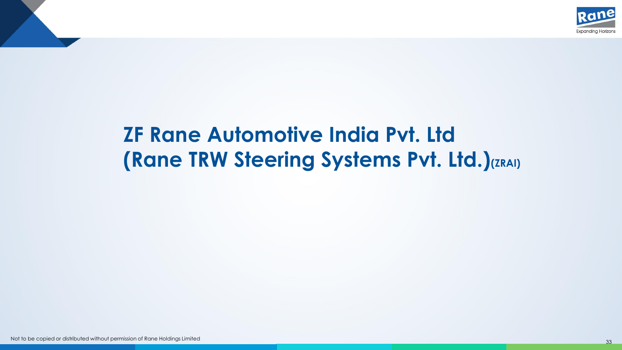

# **ZF Rane Automotive India Pvt. Ltd (Rane TRW Steering Systems Pvt. Ltd.)(ZRAI)**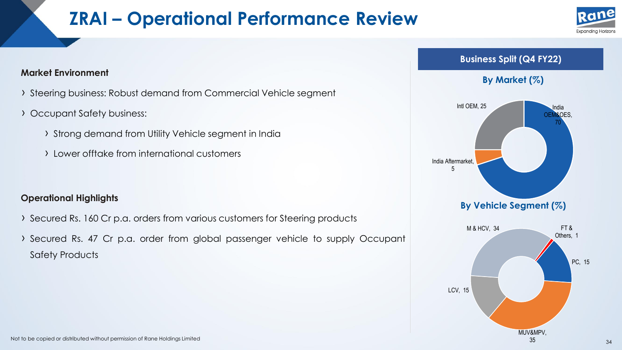### **ZRAI – Operational Performance Review**





- › Steering business: Robust demand from Commercial Vehicle segment
- › Occupant Safety business:
	- › Strong demand from Utility Vehicle segment in India
	- › Lower offtake from international customers

#### **Operational Highlights**

- › Secured Rs. <sup>160</sup> Cr p.a. orders from various customers for Steering products
- › Secured Rs. <sup>47</sup> Cr p.a. order from global passenger vehicle to supply Occupant Safety Products

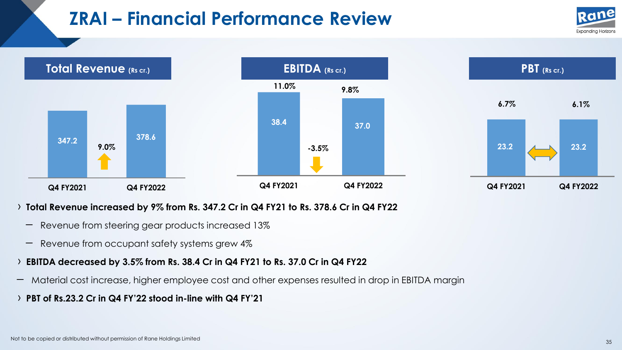### **ZRAI – Financial Performance Review**





#### › **Total Revenue increased by 9% from Rs. 347.2 Cr in Q4 FY21 to Rs. 378.6 Cr in Q4 FY22**

- Revenue from steering gear products increased 13%
- Revenue from occupant safety systems grew 4%

#### › **EBITDA decreased by 3.5% from Rs. 38.4 Cr in Q4 FY21 to Rs. 37.0 Cr in Q4 FY22**

- Material cost increase, higher employee cost and other expenses resulted in drop in EBITDA margin
- › **PBT of Rs.23.2 Cr in Q4 FY'<sup>22</sup> stood in-line with Q4 FY'<sup>21</sup>**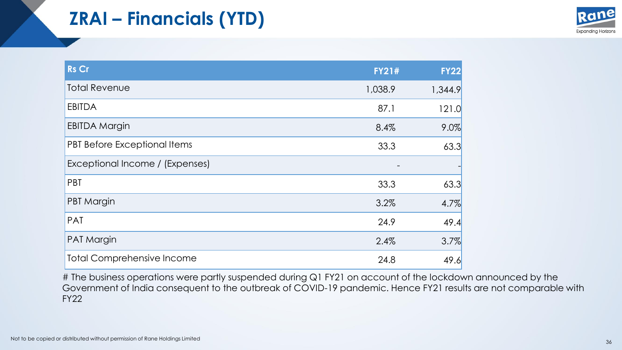# **ZRAI – Financials (YTD)**



| <b>Rs Cr</b>                      | <b>FY21#</b> | <b>FY22</b> |
|-----------------------------------|--------------|-------------|
| <b>Total Revenue</b>              | 1,038.9      | 1,344.9     |
| <b>EBITDA</b>                     | 87.1         | 121.0       |
| <b>EBITDA Margin</b>              | 8.4%         | 9.0%        |
| PBT Before Exceptional Items      | 33.3         | 63.3        |
| Exceptional Income / (Expenses)   |              |             |
| PBT                               | 33.3         | 63.3        |
| PBT Margin                        | 3.2%         | 4.7%        |
| PAT                               | 24.9         | 49.4        |
| <b>PAT Margin</b>                 | 2.4%         | 3.7%        |
| <b>Total Comprehensive Income</b> | 24.8         | 49.6        |

# The business operations were partly suspended during Q1 FY21 on account of the lockdown announced by the Government of India consequent to the outbreak of COVID-19 pandemic. Hence FY21 results are not comparable with FY22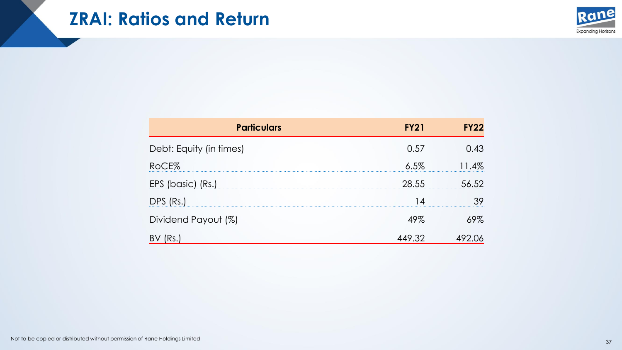### **ZRAI: Ratios and Return**



| <b>Particulars</b>      | <b>FY21</b> | <b>FY22</b> |
|-------------------------|-------------|-------------|
| Debt: Equity (in times) | 0.57        |             |
| RoCE%                   | $6.5\%$     |             |
| EPS (basic) (Rs.)       | 28.55       | 56.52       |
| DPS (Rs.)               |             |             |
| Dividend Payout (%)     | 49%         |             |
|                         |             |             |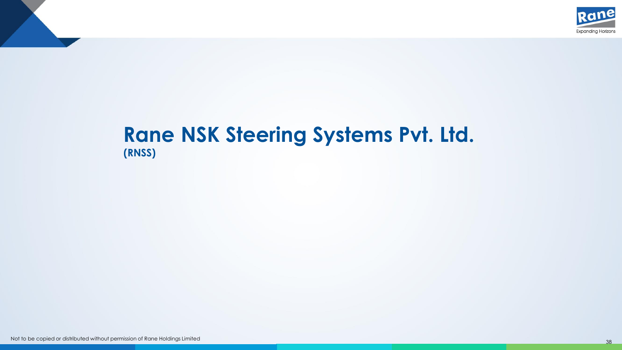

#### **Rane NSK Steering Systems Pvt. Ltd. (RNSS)**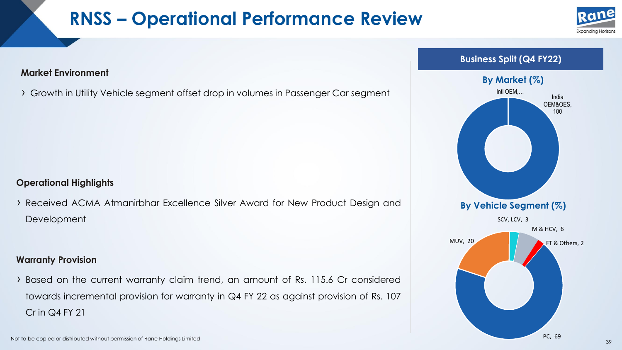## **RNSS – Operational Performance Review**





› Growth in Utility Vehicle segment offset drop in volumes in Passenger Car segment

#### **Operational Highlights**

› Received ACMA Atmanirbhar Excellence Silver Award for New Product Design and **Development** 

#### **Warranty Provision**

› Based on the current warranty claim trend, an amount of Rs. 115.6 Cr considered towards incremental provision for warranty in Q4 FY 22 as against provision of Rs. 107 Cr in Q4 FY 21

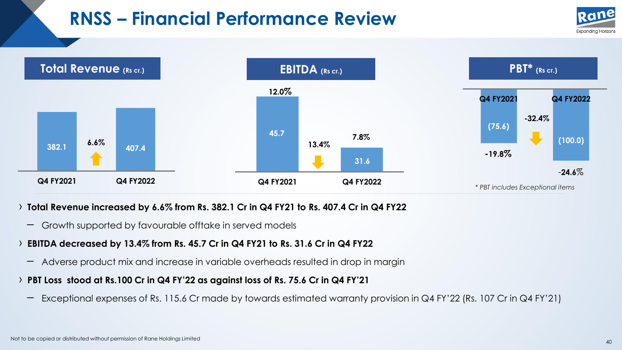## **RNSS – Financial Performance Review**





#### › **Total Revenue increased by 6.6% from Rs. 382.1 Cr in Q4 FY21 to Rs. 407.4 Cr in Q4 FY22**

– Growth supported by favourable offtake in served models

#### › **EBITDA decreased by 13.4% from Rs. 45.7 Cr in Q4 FY21 to Rs. 31.6 Cr in Q4 FY22**

- Adverse product mix and increase in variable overheads resulted in drop in margin
- > PBT Loss stood at Rs.100 Cr in Q4 FY'22 as against loss of Rs. 75.6 Cr in Q4 FY'21
	- Exceptional expenses of Rs. 115.6 Cr made by towards estimated warranty provision in Q4 FY'<sup>22</sup> (Rs. <sup>107</sup> Cr in Q4 FY'21)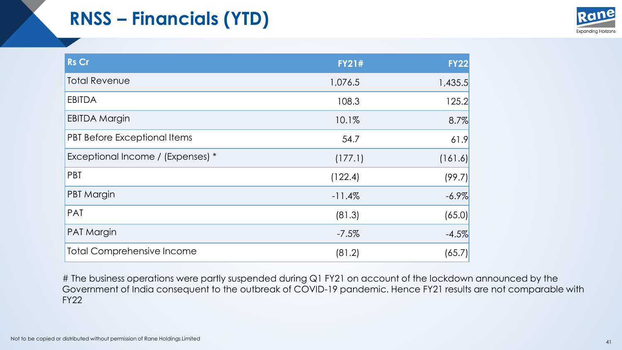# **RNSS – Financials (YTD)**



| <b>Rs Cr</b>                      | <b>FY21#</b> | <b>FY22</b> |
|-----------------------------------|--------------|-------------|
| <b>Total Revenue</b>              | 1,076.5      | 1,435.5     |
| <b>EBITDA</b>                     | 108.3        | 125.2       |
| <b>EBITDA Margin</b>              | 10.1%        | 8.7%        |
| PBT Before Exceptional Items      | 54.7         | 61.9        |
| Exceptional Income / (Expenses) * | (177.1)      | (161.6)     |
| PBT                               | (122.4)      | (99.7)      |
| <b>PBT Margin</b>                 | $-11.4%$     | $-6.9\%$    |
| <b>PAT</b>                        | (81.3)       | (65.0)      |
| <b>PAT Margin</b>                 | $-7.5%$      | $-4.5%$     |
| <b>Total Comprehensive Income</b> | (81.2)       | (65.7)      |

# The business operations were partly suspended during Q1 FY21 on account of the lockdown announced by the Government of India consequent to the outbreak of COVID-19 pandemic. Hence FY21 results are not comparable with FY22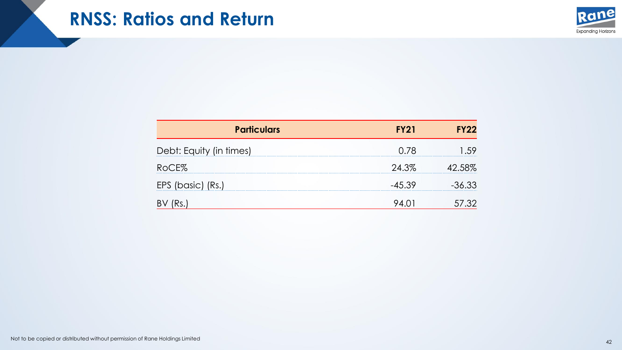### **RNSS: Ratios and Return**



| <b>Particulars</b>      | <b>FY21</b> | <b>FY22</b> |
|-------------------------|-------------|-------------|
| Debt: Equity (in times) | 0.78        |             |
| RoCE%                   | 24.3%       | 42.58%      |
| EPS (basic) (Rs.)       | $-45.39$    | -36.33      |
| B١                      |             |             |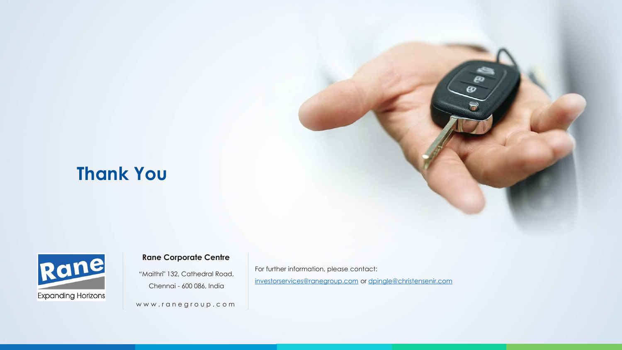### **Thank You**



#### **Rane Corporate Centre**

"Maithri" 132, Cathedral Road, Chennai - 600 086, India

www.ranegroup.com

For further information, please contact: [investorservices@ranegroup.com](mailto:investorservices@ranegroup.com) or [dpingle@christensenir.com](mailto:dpingle@christensenir.com)  $\boldsymbol{\omega}$ 

Not to be copied or distributed without permission of Rane Holdings Limited <sup>43</sup>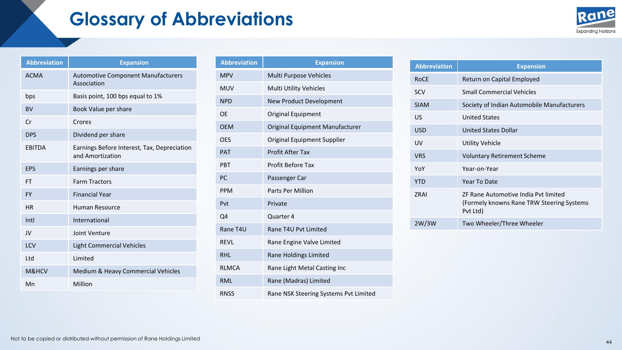### **Glossary of Abbreviations**



| <b>Abbreviation</b> | <b>Expansion</b>                                                |
|---------------------|-----------------------------------------------------------------|
| <b>ACMA</b>         | <b>Automotive Component Manufacturers</b><br>Association        |
| bps                 | Basis point, 100 bps equal to 1%                                |
| <b>BV</b>           | Book Value per share                                            |
| Cr                  | Crores                                                          |
| <b>DPS</b>          | Dividend per share                                              |
| <b>EBITDA</b>       | Earnings Before Interest, Tax, Depreciation<br>and Amortization |
| <b>EPS</b>          | Earnings per share                                              |
| FT                  | <b>Farm Tractors</b>                                            |
| <b>FY</b>           | <b>Financial Year</b>                                           |
| <b>HR</b>           | Human Resource                                                  |
| Intl                | International                                                   |
| JV                  | Joint Venture                                                   |
| LCV                 | <b>Light Commercial Vehicles</b>                                |
| l td                | <b>Limited</b>                                                  |
| M&HCV               | Medium & Heavy Commercial Vehicles                              |
| Mn                  | Million                                                         |

| <b>Abbreviation</b> | <b>Expansion</b>                      |
|---------------------|---------------------------------------|
| <b>MPV</b>          | Multi Purpose Vehicles                |
| <b>MUV</b>          | <b>Multi Utility Vehicles</b>         |
| <b>NPD</b>          | New Product Development               |
| <b>OE</b>           | Original Equipment                    |
| <b>OEM</b>          | Original Equipment Manufacturer       |
| <b>OES</b>          | Original Equipment Supplier           |
| <b>PAT</b>          | <b>Profit After Tax</b>               |
| <b>PBT</b>          | <b>Profit Before Tax</b>              |
| PC                  | Passenger Car                         |
| <b>PPM</b>          | <b>Parts Per Million</b>              |
| Pvt                 | Private                               |
| Q4                  | Quarter 4                             |
| Rane T4U            | Rane T4U Pvt Limited                  |
| RFVI                | Rane Engine Valve Limited             |
| <b>RHI</b>          | Rane Holdings Limited                 |
| <b>RIMCA</b>        | Rane Light Metal Casting Inc          |
| RMI                 | Rane (Madras) Limited                 |
| <b>RNSS</b>         | Rane NSK Steering Systems Pvt Limited |

| <b>Abbreviation</b> | <b>Expansion</b>                                                                               |
|---------------------|------------------------------------------------------------------------------------------------|
| <b>ROCE</b>         | Return on Capital Employed                                                                     |
| <b>SCV</b>          | <b>Small Commercial Vehicles</b>                                                               |
| <b>SIAM</b>         | Society of Indian Automobile Manufacturers                                                     |
| US                  | <b>United States</b>                                                                           |
| <b>USD</b>          | <b>United States Dollar</b>                                                                    |
| UV                  | Utility Vehicle                                                                                |
| <b>VRS</b>          | <b>Voluntary Retirement Scheme</b>                                                             |
| YoY                 | Year-on-Year                                                                                   |
| <b>YTD</b>          | Year To Date                                                                                   |
| 7RAI                | ZF Rane Automotive India Pvt limited<br>(Formely knowns Rane TRW Steering Systems)<br>Pvt Ltd) |
| 2W/3W               | Two Wheeler/Three Wheeler                                                                      |